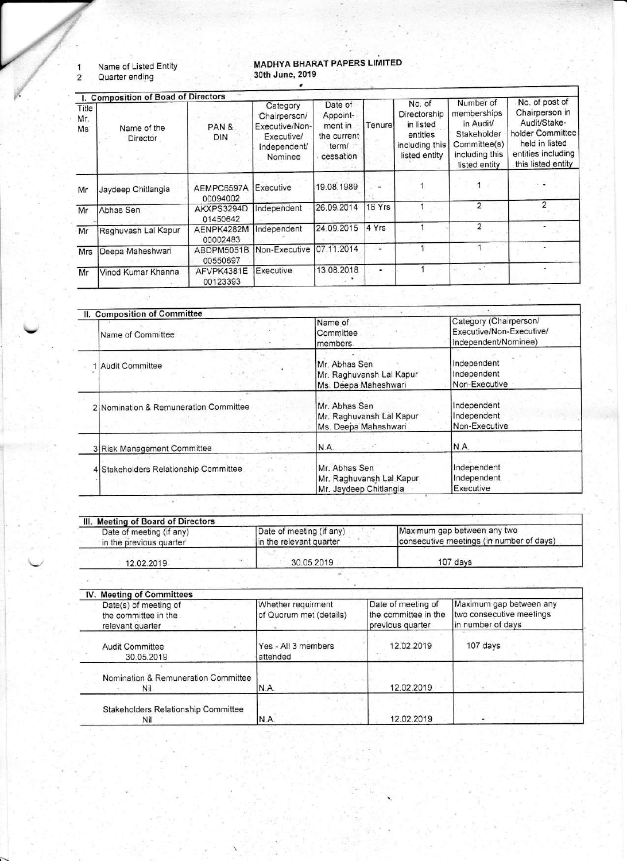$\begin{array}{c} 1 \\ 2 \end{array}$ Name of Listed Entity Quarter ending

## MADHYA BHARAT PAPERS LIMITED 30th June, 2019

|                    | I. Composition of Boad of Directors |                        |                                                                                     |                                                                     |        |                                                                                    | Number of                                                                                  | No. of post of                                                                                                   |
|--------------------|-------------------------------------|------------------------|-------------------------------------------------------------------------------------|---------------------------------------------------------------------|--------|------------------------------------------------------------------------------------|--------------------------------------------------------------------------------------------|------------------------------------------------------------------------------------------------------------------|
| Title<br>Mr.<br>Ms | Name of the<br><b>Director</b>      | PAN &<br><b>DIN</b>    | Category<br>Chairperson/<br>Executive/Non-<br>Executive/<br>Independent/<br>Nominee | Date of<br>Appoint-<br>ment in<br>the current<br>term/<br>cessation | Tenure | No. of<br>Directorship<br>in listed<br>entities<br>including this<br>listed entity | memberships<br>in Audit/<br>Stakeholder<br>Committee(s)<br>including this<br>listed entity | Chairperson in<br>Audit/Stake-<br>holder Committee<br>held in listed<br>entities including<br>this listed entity |
| Mr                 | Jaydeep Chitlangia                  | AEMPC6597A<br>00094002 | Executive                                                                           | 19.08.1989                                                          |        |                                                                                    |                                                                                            |                                                                                                                  |
| Mr                 | Abhas Sen                           | AKXPS3294D<br>01450642 | Independent                                                                         | 26.09.2014                                                          | 16 Yrs |                                                                                    | $\overline{2}$                                                                             | 2                                                                                                                |
| Mr                 | Raghuvash Lal Kapur                 | AENPK4282M<br>00002483 | Independent                                                                         | 24.09.2015                                                          | 4 Yrs  |                                                                                    | 2                                                                                          |                                                                                                                  |
| Mrs                | Deepa Maheshwari                    | ABDPM5051B<br>00550697 | Non-Executive                                                                       | 07.11.2014                                                          |        |                                                                                    |                                                                                            |                                                                                                                  |
| Mr                 | Vinod Kumar Khanna                  | AFVPK4381E<br>00123393 | Executive                                                                           | 13.08.2018                                                          |        |                                                                                    |                                                                                            |                                                                                                                  |

| II. Composition of Committee          |                                                                     |                                                                            |
|---------------------------------------|---------------------------------------------------------------------|----------------------------------------------------------------------------|
| Name of Committee                     | Name of<br>Committee<br>members.                                    | Category (Chairperson/<br>Executive/Non-Executive/<br>Independent/Nominee) |
| Audit Committee                       | Mr. Abhas Sen<br>Mr. Raghuvansh Lal Kapur<br>Ms. Deepa Maheshwari   | Independent<br>Independent<br>Non-Executive                                |
| 2 Nomination & Remuneration Committee | Mr. Abhas Sen<br>Mr. Raghuvansh Lal Kapur<br>Ms. Deepa Maheshwari   | Independent<br>Independent<br>Non-Executive                                |
| 3 Risk Management Committee           | N.A.                                                                | N.A.                                                                       |
| 4 Stakeholders Relationship Committee | Mr. Abhas Sen<br>Mr. Raghuvansh Lal Kapur<br>Mr. Javdeep Chitlangia | Independent<br>Independent<br>Executive                                    |

| Date of meeting (if any) | Date of meeting (if any) | Maximum gap between any two              |
|--------------------------|--------------------------|------------------------------------------|
| in the previous quarter  | in the relevant quarter  | consecutive meetings (in number of days) |
| 12.02.2019               | 30.05.2019               | 107 days                                 |

| IV. Meeting of Committees                                         |                                               |                                                                |                                                                          |
|-------------------------------------------------------------------|-----------------------------------------------|----------------------------------------------------------------|--------------------------------------------------------------------------|
| Date(s) of meeting of<br>the committee in the<br>relevant quarter | Whether requirment<br>of Quorum met (details) | Date of meeting of<br>the committee in the<br>previous quarter | Maximum gap between any<br>two consecutive meetings<br>in number of days |
| <b>Audit Committee</b><br>30.05.2019                              | Yes - All 3 members<br>attended               | 12.02.2019                                                     | 107 days                                                                 |
| Nomination & Remuneration Committee<br>Nil                        | N.A.                                          | 12.02.2019                                                     |                                                                          |
| Stakeholders Relationship Committee<br>Nil                        | N.A.                                          | 12.02.2019                                                     |                                                                          |